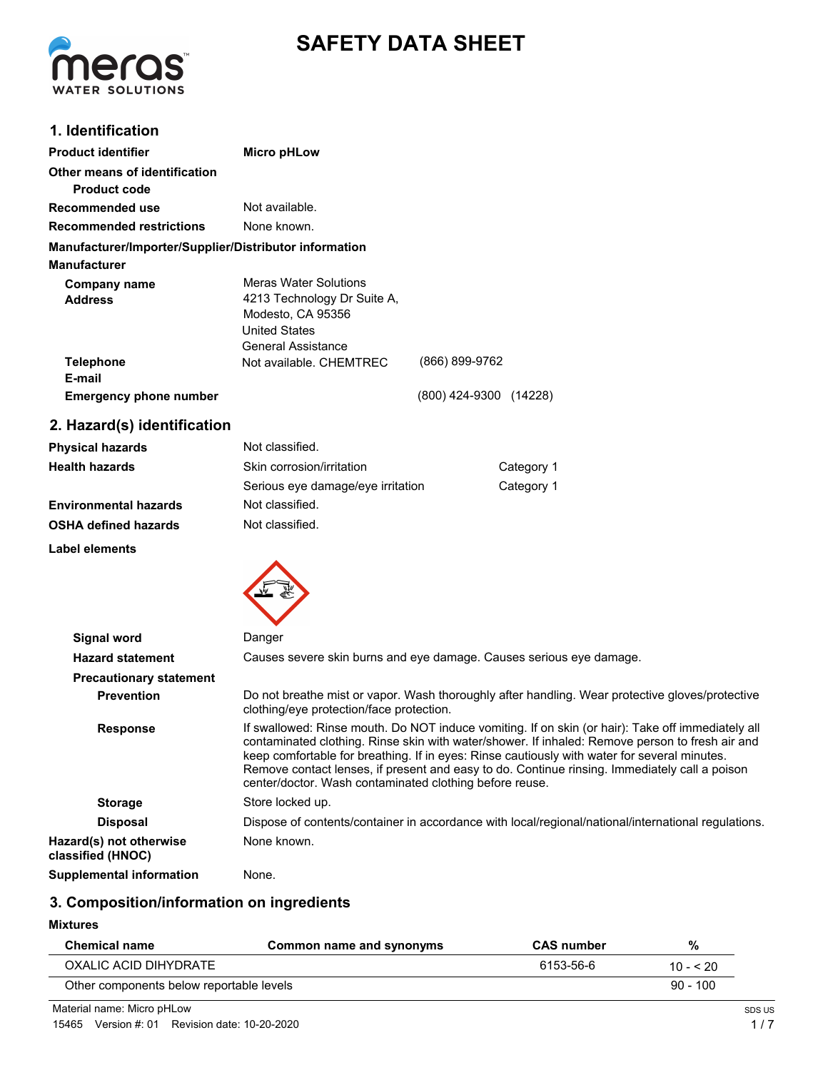



## **1. Identification**

| <b>Product identifier</b>                                                     | Micro pHLow                                                                                                                    |                        |  |
|-------------------------------------------------------------------------------|--------------------------------------------------------------------------------------------------------------------------------|------------------------|--|
| Other means of identification<br>Product code                                 |                                                                                                                                |                        |  |
| Recommended use                                                               | Not available.                                                                                                                 |                        |  |
| <b>Recommended restrictions</b>                                               | None known.                                                                                                                    |                        |  |
| Manufacturer/Importer/Supplier/Distributor information<br><b>Manufacturer</b> |                                                                                                                                |                        |  |
| Company name<br><b>Address</b>                                                | <b>Meras Water Solutions</b><br>4213 Technology Dr Suite A,<br>Modesto, CA 95356<br><b>United States</b><br>General Assistance |                        |  |
| <b>Telephone</b><br>E-mail                                                    | Not available, CHEMTREC                                                                                                        | (866) 899-9762         |  |
| <b>Emergency phone number</b>                                                 |                                                                                                                                | (800) 424-9300 (14228) |  |

# **2. Hazard(s) identification**

| <b>Physical hazards</b>      | Not classified.                   |            |
|------------------------------|-----------------------------------|------------|
| <b>Health hazards</b>        | Skin corrosion/irritation         | Category 1 |
|                              | Serious eye damage/eye irritation | Category 1 |
| <b>Environmental hazards</b> | Not classified.                   |            |
| <b>OSHA defined hazards</b>  | Not classified.                   |            |
| Label elements               |                                   |            |



| Signal word                                  | Danger                                                                                                                                                                                                                                                                                                                                                                                                                                                           |
|----------------------------------------------|------------------------------------------------------------------------------------------------------------------------------------------------------------------------------------------------------------------------------------------------------------------------------------------------------------------------------------------------------------------------------------------------------------------------------------------------------------------|
| <b>Hazard statement</b>                      | Causes severe skin burns and eye damage. Causes serious eye damage.                                                                                                                                                                                                                                                                                                                                                                                              |
| <b>Precautionary statement</b>               |                                                                                                                                                                                                                                                                                                                                                                                                                                                                  |
| <b>Prevention</b>                            | Do not breathe mist or vapor. Wash thoroughly after handling. Wear protective gloves/protective<br>clothing/eye protection/face protection.                                                                                                                                                                                                                                                                                                                      |
| <b>Response</b>                              | If swallowed: Rinse mouth. Do NOT induce vomiting. If on skin (or hair): Take off immediately all<br>contaminated clothing. Rinse skin with water/shower. If inhaled: Remove person to fresh air and<br>keep comfortable for breathing. If in eyes: Rinse cautiously with water for several minutes.<br>Remove contact lenses, if present and easy to do. Continue rinsing. Immediately call a poison<br>center/doctor. Wash contaminated clothing before reuse. |
| <b>Storage</b>                               | Store locked up.                                                                                                                                                                                                                                                                                                                                                                                                                                                 |
| <b>Disposal</b>                              | Dispose of contents/container in accordance with local/regional/national/international regulations.                                                                                                                                                                                                                                                                                                                                                              |
| Hazard(s) not otherwise<br>classified (HNOC) | None known.                                                                                                                                                                                                                                                                                                                                                                                                                                                      |
| <b>Supplemental information</b>              | None.                                                                                                                                                                                                                                                                                                                                                                                                                                                            |

# **3. Composition/information on ingredients**

#### **Mixtures**

| <b>Chemical name</b>                     | Common name and synonyms | <b>CAS</b> number | %          |
|------------------------------------------|--------------------------|-------------------|------------|
| OXALIC ACID DIHYDRATE                    |                          | 6153-56-6         | $10 - 520$ |
| Other components below reportable levels |                          |                   | $90 - 100$ |

Material name: Micro pHLow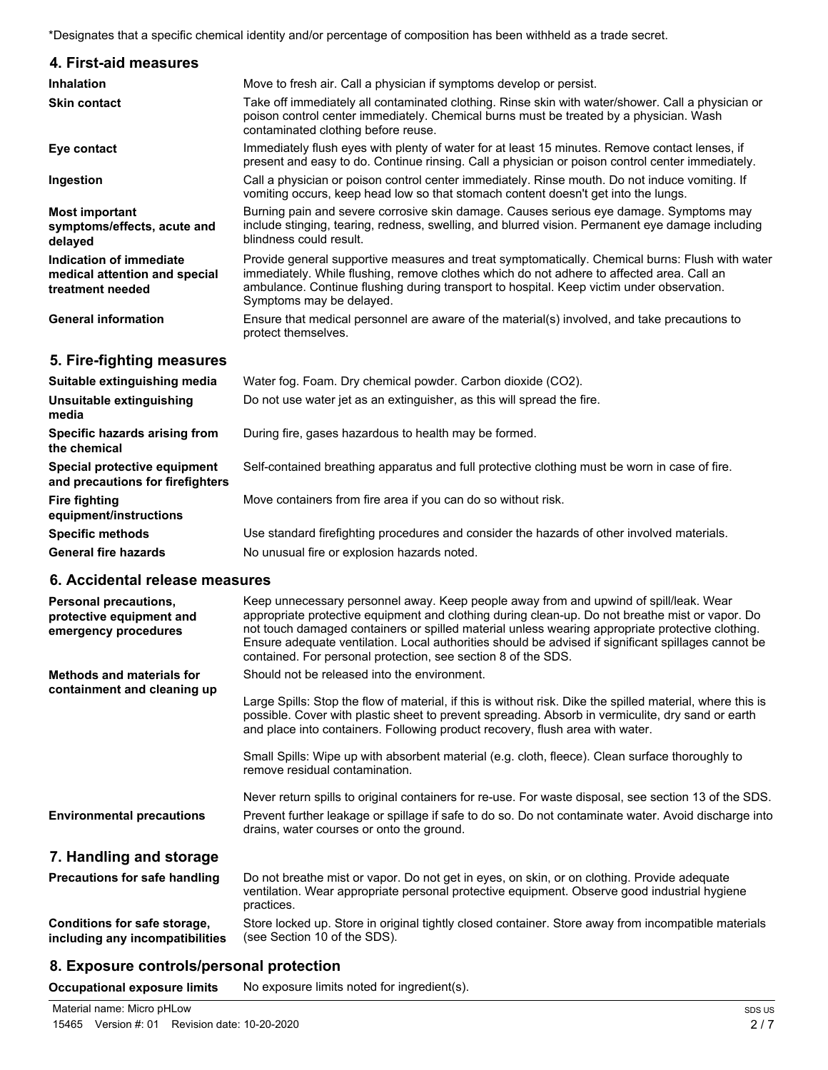\*Designates that a specific chemical identity and/or percentage of composition has been withheld as a trade secret.

| 4. First-aid measures                                                        |                                                                                                                                                                                                                                                                                                                       |
|------------------------------------------------------------------------------|-----------------------------------------------------------------------------------------------------------------------------------------------------------------------------------------------------------------------------------------------------------------------------------------------------------------------|
| Inhalation                                                                   | Move to fresh air. Call a physician if symptoms develop or persist.                                                                                                                                                                                                                                                   |
| <b>Skin contact</b>                                                          | Take off immediately all contaminated clothing. Rinse skin with water/shower. Call a physician or<br>poison control center immediately. Chemical burns must be treated by a physician. Wash<br>contaminated clothing before reuse.                                                                                    |
| Eye contact                                                                  | Immediately flush eyes with plenty of water for at least 15 minutes. Remove contact lenses, if<br>present and easy to do. Continue rinsing. Call a physician or poison control center immediately.                                                                                                                    |
| Ingestion                                                                    | Call a physician or poison control center immediately. Rinse mouth. Do not induce vomiting. If<br>vomiting occurs, keep head low so that stomach content doesn't get into the lungs.                                                                                                                                  |
| <b>Most important</b><br>symptoms/effects, acute and<br>delayed              | Burning pain and severe corrosive skin damage. Causes serious eye damage. Symptoms may<br>include stinging, tearing, redness, swelling, and blurred vision. Permanent eye damage including<br>blindness could result.                                                                                                 |
| Indication of immediate<br>medical attention and special<br>treatment needed | Provide general supportive measures and treat symptomatically. Chemical burns: Flush with water<br>immediately. While flushing, remove clothes which do not adhere to affected area. Call an<br>ambulance. Continue flushing during transport to hospital. Keep victim under observation.<br>Symptoms may be delayed. |
| <b>General information</b>                                                   | Ensure that medical personnel are aware of the material(s) involved, and take precautions to<br>protect themselves.                                                                                                                                                                                                   |
| 5. Fire-fighting measures                                                    |                                                                                                                                                                                                                                                                                                                       |
| Suitable extinguishing media                                                 | Water fog. Foam. Dry chemical powder. Carbon dioxide (CO2).                                                                                                                                                                                                                                                           |
| Unsuitable extinguishing<br>media                                            | Do not use water jet as an extinguisher, as this will spread the fire.                                                                                                                                                                                                                                                |
| Specific hazards arising from<br>the chemical                                | During fire, gases hazardous to health may be formed.                                                                                                                                                                                                                                                                 |
| Special protective equipment<br>and precautions for firefighters             | Self-contained breathing apparatus and full protective clothing must be worn in case of fire.                                                                                                                                                                                                                         |
| <b>Fire fighting</b><br>equipment/instructions                               | Move containers from fire area if you can do so without risk.                                                                                                                                                                                                                                                         |
| <b>Specific methods</b>                                                      | Use standard firefighting procedures and consider the hazards of other involved materials.                                                                                                                                                                                                                            |
| <b>General fire hazards</b>                                                  | No unusual fire or explosion hazards noted.                                                                                                                                                                                                                                                                           |
|                                                                              |                                                                                                                                                                                                                                                                                                                       |

## **6. Accidental release measures**

| 0. ACCIUCITIAI I CICASC IIICASUI CS                                              |                                                                                                                                                                                                                                                                                                                                                                                                                                                                      |
|----------------------------------------------------------------------------------|----------------------------------------------------------------------------------------------------------------------------------------------------------------------------------------------------------------------------------------------------------------------------------------------------------------------------------------------------------------------------------------------------------------------------------------------------------------------|
| <b>Personal precautions,</b><br>protective equipment and<br>emergency procedures | Keep unnecessary personnel away. Keep people away from and upwind of spill/leak. Wear<br>appropriate protective equipment and clothing during clean-up. Do not breathe mist or vapor. Do<br>not touch damaged containers or spilled material unless wearing appropriate protective clothing.<br>Ensure adequate ventilation. Local authorities should be advised if significant spillages cannot be<br>contained. For personal protection, see section 8 of the SDS. |
| Methods and materials for                                                        | Should not be released into the environment.                                                                                                                                                                                                                                                                                                                                                                                                                         |
| containment and cleaning up                                                      | Large Spills: Stop the flow of material, if this is without risk. Dike the spilled material, where this is<br>possible. Cover with plastic sheet to prevent spreading. Absorb in vermiculite, dry sand or earth<br>and place into containers. Following product recovery, flush area with water.                                                                                                                                                                     |
|                                                                                  | Small Spills: Wipe up with absorbent material (e.g. cloth, fleece). Clean surface thoroughly to<br>remove residual contamination.                                                                                                                                                                                                                                                                                                                                    |
| <b>Environmental precautions</b>                                                 | Never return spills to original containers for re-use. For waste disposal, see section 13 of the SDS.<br>Prevent further leakage or spillage if safe to do so. Do not contaminate water. Avoid discharge into<br>drains, water courses or onto the ground.                                                                                                                                                                                                           |
| 7. Handling and storage                                                          |                                                                                                                                                                                                                                                                                                                                                                                                                                                                      |
| <b>Precautions for safe handling</b>                                             | Do not breathe mist or vapor. Do not get in eyes, on skin, or on clothing. Provide adequate                                                                                                                                                                                                                                                                                                                                                                          |

ventilation. Wear appropriate personal protective equipment. Observe good industrial hygiene practices. Store locked up. Store in original tightly closed container. Store away from incompatible materials (see Section 10 of the SDS). **Conditions for safe storage,**

#### **8. Exposure controls/personal protection**

**Occupational exposure limits** No exposure limits noted for ingredient(s).

**including any incompatibilities**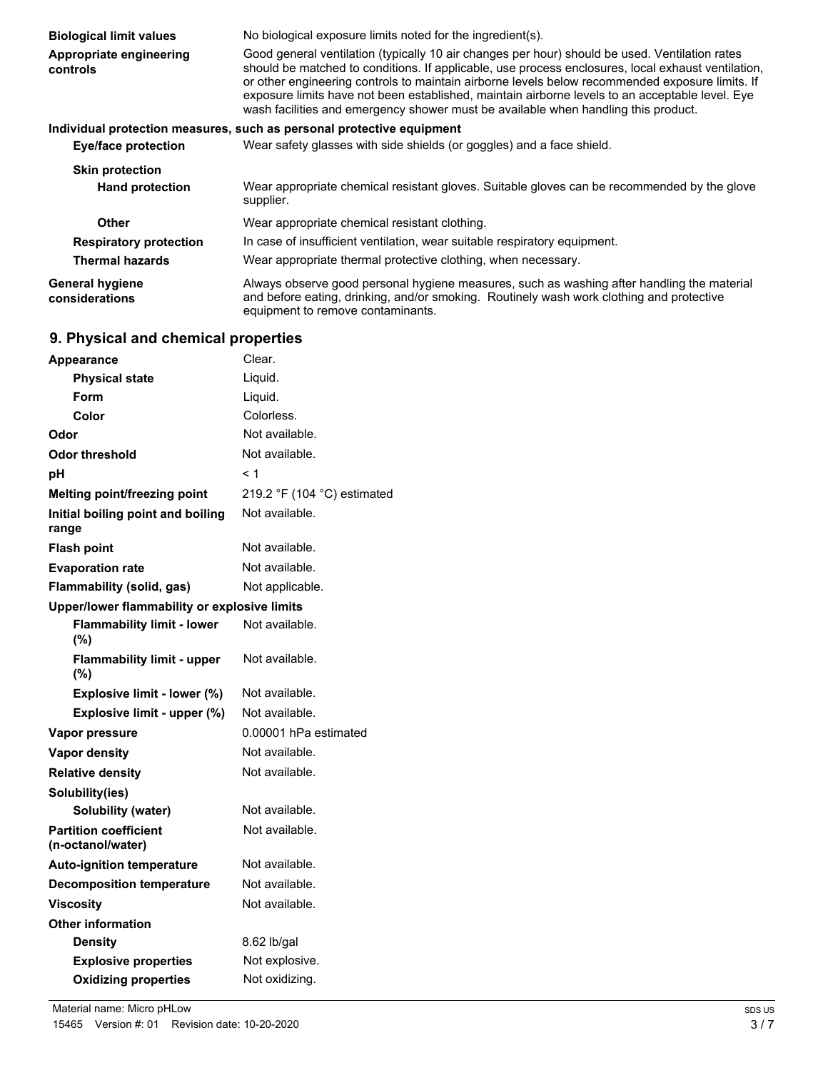| <b>Biological limit values</b><br>Appropriate engineering<br>controls | No biological exposure limits noted for the ingredient(s).<br>Good general ventilation (typically 10 air changes per hour) should be used. Ventilation rates<br>should be matched to conditions. If applicable, use process enclosures, local exhaust ventilation,<br>or other engineering controls to maintain airborne levels below recommended exposure limits. If<br>exposure limits have not been established, maintain airborne levels to an acceptable level. Eye<br>wash facilities and emergency shower must be available when handling this product. |
|-----------------------------------------------------------------------|----------------------------------------------------------------------------------------------------------------------------------------------------------------------------------------------------------------------------------------------------------------------------------------------------------------------------------------------------------------------------------------------------------------------------------------------------------------------------------------------------------------------------------------------------------------|
|                                                                       | Individual protection measures, such as personal protective equipment                                                                                                                                                                                                                                                                                                                                                                                                                                                                                          |
| Eye/face protection                                                   | Wear safety glasses with side shields (or goggles) and a face shield.                                                                                                                                                                                                                                                                                                                                                                                                                                                                                          |
| <b>Skin protection</b><br><b>Hand protection</b>                      | Wear appropriate chemical resistant gloves. Suitable gloves can be recommended by the glove                                                                                                                                                                                                                                                                                                                                                                                                                                                                    |
|                                                                       | supplier.                                                                                                                                                                                                                                                                                                                                                                                                                                                                                                                                                      |
| Other                                                                 | Wear appropriate chemical resistant clothing.                                                                                                                                                                                                                                                                                                                                                                                                                                                                                                                  |
| <b>Respiratory protection</b>                                         | In case of insufficient ventilation, wear suitable respiratory equipment.                                                                                                                                                                                                                                                                                                                                                                                                                                                                                      |
| <b>Thermal hazards</b>                                                | Wear appropriate thermal protective clothing, when necessary.                                                                                                                                                                                                                                                                                                                                                                                                                                                                                                  |
| <b>General hygiene</b><br>considerations                              | Always observe good personal hygiene measures, such as washing after handling the material<br>and before eating, drinking, and/or smoking. Routinely wash work clothing and protective<br>equipment to remove contaminants.                                                                                                                                                                                                                                                                                                                                    |

# **9. Physical and chemical properties**

| <b>Appearance</b>                                 | Clear.                      |
|---------------------------------------------------|-----------------------------|
| <b>Physical state</b>                             | Liquid.                     |
| Form                                              | Liquid.                     |
| Color                                             | Colorless.                  |
| Odor                                              | Not available.              |
| Odor threshold                                    | Not available.              |
| рH                                                | < 1                         |
| Melting point/freezing point                      | 219.2 °F (104 °C) estimated |
| Initial boiling point and boiling<br>range        | Not available.              |
| <b>Flash point</b>                                | Not available.              |
| <b>Evaporation rate</b>                           | Not available.              |
| Flammability (solid, gas)                         | Not applicable.             |
| Upper/lower flammability or explosive limits      |                             |
| <b>Flammability limit - lower</b><br>(%)          | Not available.              |
| <b>Flammability limit - upper</b><br>(%)          | Not available.              |
| Explosive limit - lower (%)                       | Not available.              |
| Explosive limit - upper (%)                       | Not available.              |
| Vapor pressure                                    | 0.00001 hPa estimated       |
| <b>Vapor density</b>                              | Not available.              |
| <b>Relative density</b>                           | Not available.              |
| Solubility(ies)                                   |                             |
| Solubility (water)                                | Not available.              |
| <b>Partition coefficient</b><br>(n-octanol/water) | Not available.              |
| <b>Auto-ignition temperature</b>                  | Not available.              |
| <b>Decomposition temperature</b>                  | Not available.              |
| <b>Viscosity</b>                                  | Not available.              |
| <b>Other information</b>                          |                             |
| <b>Density</b>                                    | 8.62 lb/gal                 |
| <b>Explosive properties</b>                       | Not explosive.              |
| <b>Oxidizing properties</b>                       | Not oxidizing.              |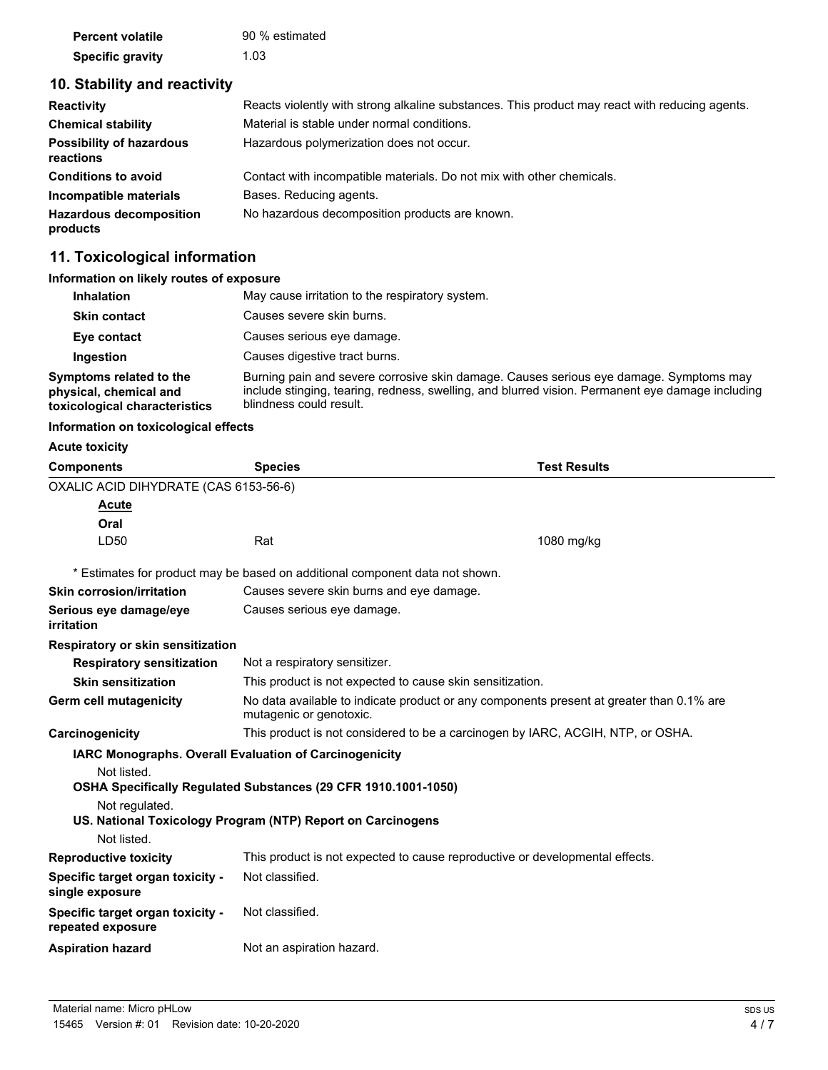| <b>Percent volatile</b> | 90 % estimated |
|-------------------------|----------------|
| <b>Specific gravity</b> | 1.03           |

# **10. Stability and reactivity**

| <b>Reactivity</b>                            | Reacts violently with strong alkaline substances. This product may react with reducing agents. |
|----------------------------------------------|------------------------------------------------------------------------------------------------|
| <b>Chemical stability</b>                    | Material is stable under normal conditions.                                                    |
| <b>Possibility of hazardous</b><br>reactions | Hazardous polymerization does not occur.                                                       |
| <b>Conditions to avoid</b>                   | Contact with incompatible materials. Do not mix with other chemicals.                          |
| Incompatible materials                       | Bases. Reducing agents.                                                                        |
| <b>Hazardous decomposition</b><br>products   | No hazardous decomposition products are known.                                                 |

# **11. Toxicological information**

| Information on likely routes of exposure                                           |                                                                                                                                                                                                                       |
|------------------------------------------------------------------------------------|-----------------------------------------------------------------------------------------------------------------------------------------------------------------------------------------------------------------------|
| <b>Inhalation</b>                                                                  | May cause irritation to the respiratory system.                                                                                                                                                                       |
| <b>Skin contact</b>                                                                | Causes severe skin burns.                                                                                                                                                                                             |
| Eye contact                                                                        | Causes serious eye damage.                                                                                                                                                                                            |
| Ingestion                                                                          | Causes digestive tract burns.                                                                                                                                                                                         |
| Symptoms related to the<br>physical, chemical and<br>toxicological characteristics | Burning pain and severe corrosive skin damage. Causes serious eve damage. Symptoms may<br>include stinging, tearing, redness, swelling, and blurred vision. Permanent eye damage including<br>blindness could result. |

**Information on toxicological effects**

## **Acute toxicity**

| <b>Components</b>                                     | <b>Species</b>                                                                                                      | <b>Test Results</b> |
|-------------------------------------------------------|---------------------------------------------------------------------------------------------------------------------|---------------------|
| OXALIC ACID DIHYDRATE (CAS 6153-56-6)                 |                                                                                                                     |                     |
| <b>Acute</b>                                          |                                                                                                                     |                     |
| Oral                                                  |                                                                                                                     |                     |
| LD50                                                  | Rat                                                                                                                 | 1080 mg/kg          |
|                                                       | * Estimates for product may be based on additional component data not shown.                                        |                     |
| <b>Skin corrosion/irritation</b>                      | Causes severe skin burns and eye damage.                                                                            |                     |
| Serious eye damage/eye<br>irritation                  | Causes serious eye damage.                                                                                          |                     |
| <b>Respiratory or skin sensitization</b>              |                                                                                                                     |                     |
| <b>Respiratory sensitization</b>                      | Not a respiratory sensitizer.                                                                                       |                     |
| <b>Skin sensitization</b>                             | This product is not expected to cause skin sensitization.                                                           |                     |
| Germ cell mutagenicity                                | No data available to indicate product or any components present at greater than 0.1% are<br>mutagenic or genotoxic. |                     |
| Carcinogenicity                                       | This product is not considered to be a carcinogen by IARC, ACGIH, NTP, or OSHA.                                     |                     |
|                                                       | IARC Monographs. Overall Evaluation of Carcinogenicity                                                              |                     |
| Not listed.                                           |                                                                                                                     |                     |
|                                                       | OSHA Specifically Regulated Substances (29 CFR 1910.1001-1050)                                                      |                     |
| Not regulated.                                        |                                                                                                                     |                     |
| Not listed.                                           | US. National Toxicology Program (NTP) Report on Carcinogens                                                         |                     |
| <b>Reproductive toxicity</b>                          | This product is not expected to cause reproductive or developmental effects.                                        |                     |
| Specific target organ toxicity -<br>single exposure   | Not classified.                                                                                                     |                     |
| Specific target organ toxicity -<br>repeated exposure | Not classified.                                                                                                     |                     |
| <b>Aspiration hazard</b>                              | Not an aspiration hazard.                                                                                           |                     |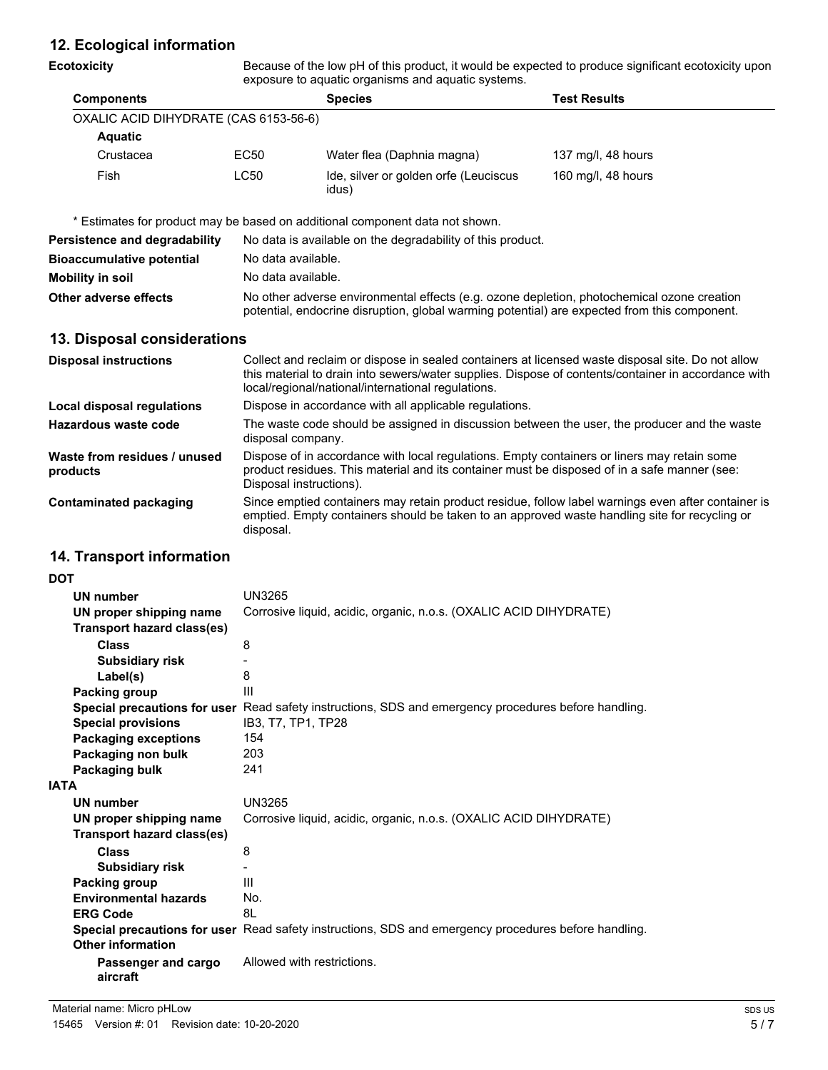## **12. Ecological information**

#### **Ecotoxicity**

Because of the low pH of this product, it would be expected to produce significant ecotoxicity upon exposure to aquatic organisms and aquatic systems.

| <b>Components</b>                     |      | <b>Species</b>                                 | <b>Test Results</b> |
|---------------------------------------|------|------------------------------------------------|---------------------|
| OXALIC ACID DIHYDRATE (CAS 6153-56-6) |      |                                                |                     |
| <b>Aquatic</b>                        |      |                                                |                     |
| Crustacea                             | EC50 | Water flea (Daphnia magna)                     | 137 mg/l, 48 hours  |
| Fish                                  | LC50 | Ide, silver or golden orfe (Leuciscus<br>idus) | 160 mg/l, 48 hours  |

\* Estimates for product may be based on additional component data not shown.

| Persistence and degradability    | No data is available on the degradability of this product.                                                                                                                                 |
|----------------------------------|--------------------------------------------------------------------------------------------------------------------------------------------------------------------------------------------|
| <b>Bioaccumulative potential</b> | No data available.                                                                                                                                                                         |
| <b>Mobility in soil</b>          | No data available.                                                                                                                                                                         |
| Other adverse effects            | No other adverse environmental effects (e.g. ozone depletion, photochemical ozone creation<br>potential, endocrine disruption, global warming potential) are expected from this component. |

#### **13. Disposal considerations**

| <b>Disposal instructions</b>             | Collect and reclaim or dispose in sealed containers at licensed waste disposal site. Do not allow<br>this material to drain into sewers/water supplies. Dispose of contents/container in accordance with<br>local/regional/national/international regulations. |
|------------------------------------------|----------------------------------------------------------------------------------------------------------------------------------------------------------------------------------------------------------------------------------------------------------------|
| Local disposal regulations               | Dispose in accordance with all applicable regulations.                                                                                                                                                                                                         |
| Hazardous waste code                     | The waste code should be assigned in discussion between the user, the producer and the waste<br>disposal company.                                                                                                                                              |
| Waste from residues / unused<br>products | Dispose of in accordance with local regulations. Empty containers or liners may retain some<br>product residues. This material and its container must be disposed of in a safe manner (see:<br>Disposal instructions).                                         |
| <b>Contaminated packaging</b>            | Since emptied containers may retain product residue, follow label warnings even after container is<br>emptied. Empty containers should be taken to an approved waste handling site for recycling or<br>disposal.                                               |

## **14. Transport information**

**DOT** 

| וטע  |                                   |                                                                                                      |
|------|-----------------------------------|------------------------------------------------------------------------------------------------------|
|      | UN number                         | <b>UN3265</b>                                                                                        |
|      | UN proper shipping name           | Corrosive liquid, acidic, organic, n.o.s. (OXALIC ACID DIHYDRATE)                                    |
|      | <b>Transport hazard class(es)</b> |                                                                                                      |
|      | <b>Class</b>                      | 8                                                                                                    |
|      | Subsidiary risk                   |                                                                                                      |
|      | Label(s)                          | 8                                                                                                    |
|      | Packing group                     | $\mathbf{III}$                                                                                       |
|      |                                   | Special precautions for user Read safety instructions, SDS and emergency procedures before handling. |
|      | <b>Special provisions</b>         | IB3, T7, TP1, TP28                                                                                   |
|      | <b>Packaging exceptions</b>       | 154                                                                                                  |
|      | Packaging non bulk                | 203                                                                                                  |
|      | Packaging bulk                    | 241                                                                                                  |
| IATA |                                   |                                                                                                      |
|      | <b>UN number</b>                  | <b>UN3265</b>                                                                                        |
|      | UN proper shipping name           | Corrosive liquid, acidic, organic, n.o.s. (OXALIC ACID DIHYDRATE)                                    |
|      | <b>Transport hazard class(es)</b> |                                                                                                      |
|      | <b>Class</b>                      | 8                                                                                                    |
|      | Subsidiary risk                   |                                                                                                      |
|      | Packing group                     | Ш                                                                                                    |
|      | <b>Environmental hazards</b>      | No.                                                                                                  |
|      | <b>ERG Code</b>                   | 81                                                                                                   |
|      |                                   | Special precautions for user Read safety instructions, SDS and emergency procedures before handling. |
|      | <b>Other information</b>          |                                                                                                      |
|      | Passenger and cargo<br>aircraft   | Allowed with restrictions.                                                                           |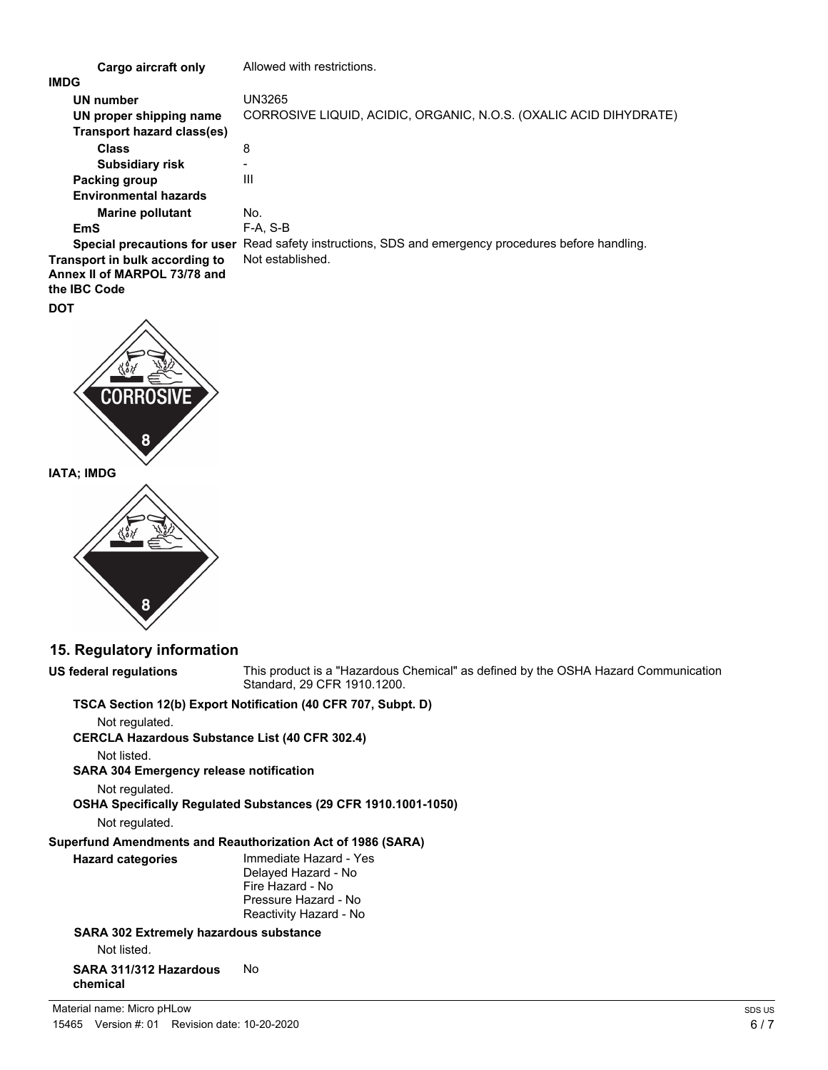| Cargo aircraft only            | Allowed with restrictions.                                              |
|--------------------------------|-------------------------------------------------------------------------|
| <b>IMDG</b>                    |                                                                         |
| UN number                      | UN3265                                                                  |
| UN proper shipping name        | CORROSIVE LIQUID, ACIDIC, ORGANIC, N.O.S. (OXALIC ACID DIHYDRATE)       |
| Transport hazard class(es)     |                                                                         |
| <b>Class</b>                   | 8                                                                       |
| <b>Subsidiary risk</b>         |                                                                         |
| Packing group                  | Ш                                                                       |
| <b>Environmental hazards</b>   |                                                                         |
| <b>Marine pollutant</b>        | No.                                                                     |
| EmS                            | $F-A. S-B$                                                              |
| Special precautions for user   | Read safety instructions, SDS and emergency procedures before handling. |
| Transport in bulk according to | Not established.                                                        |
| Annex II of MARPOL 73/78 and   |                                                                         |
| the <b>IBC</b> Code            |                                                                         |

# **DOT**



**IATA; IMDG**



# **15. Regulatory information**

**US federal regulations**

This product is a "Hazardous Chemical" as defined by the OSHA Hazard Communication Standard, 29 CFR 1910.1200.

## **TSCA Section 12(b) Export Notification (40 CFR 707, Subpt. D)**

Not regulated.

**CERCLA Hazardous Substance List (40 CFR 302.4)**

Not listed.

**SARA 304 Emergency release notification**

Not regulated.

**OSHA Specifically Regulated Substances (29 CFR 1910.1001-1050)**

Not regulated.

# **Superfund Amendments and Reauthorization Act of 1986 (SARA)**

Immediate Hazard - Yes Delayed Hazard - No Fire Hazard - No Pressure Hazard - No Reactivity Hazard - No **Hazard categories**

## **SARA 302 Extremely hazardous substance**

Not listed.

#### **SARA 311/312 Hazardous** No **chemical**